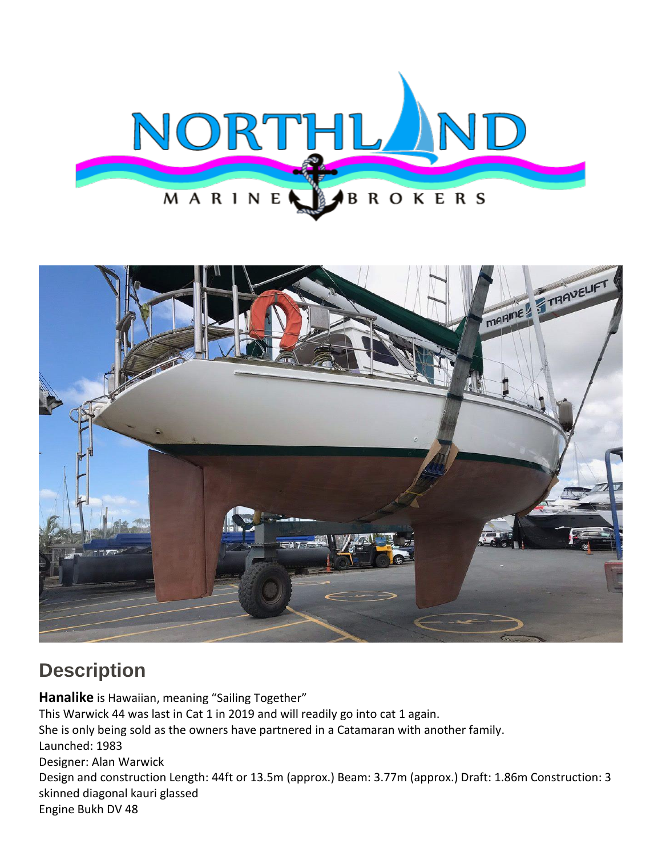



## **Description**

**Hanalike** is Hawaiian, meaning "Sailing Together" This Warwick 44 was last in Cat 1 in 2019 and will readily go into cat 1 again. She is only being sold as the owners have partnered in a Catamaran with another family. Launched: 1983 Designer: Alan Warwick Design and construction Length: 44ft or 13.5m (approx.) Beam: 3.77m (approx.) Draft: 1.86m Construction: 3 skinned diagonal kauri glassed Engine Bukh DV 48